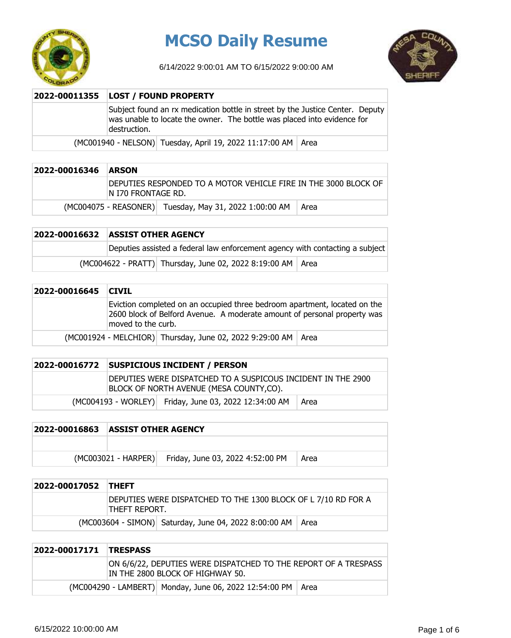

# **MCSO Daily Resume**

6/14/2022 9:00:01 AM TO 6/15/2022 9:00:00 AM



| 2022-00011355   LOST / FOUND PROPERTY                                                                                                                                    |  |  |
|--------------------------------------------------------------------------------------------------------------------------------------------------------------------------|--|--|
| Subject found an rx medication bottle in street by the Justice Center. Deputy<br>was unable to locate the owner. The bottle was placed into evidence for<br>destruction. |  |  |
| (MC001940 - NELSON) Tuesday, April 19, 2022 11:17:00 AM   Area                                                                                                           |  |  |

| 2022-00016346 | <b>ARSON</b>        |                                                                 |      |
|---------------|---------------------|-----------------------------------------------------------------|------|
|               | IN I70 FRONTAGE RD. | DEPUTIES RESPONDED TO A MOTOR VEHICLE FIRE IN THE 3000 BLOCK OF |      |
|               |                     | (MC004075 - REASONER) Tuesday, May 31, 2022 1:00:00 AM          | Area |

## **2022-00016632 ASSIST OTHER AGENCY**

Deputies assisted a federal law enforcement agency with contacting a subject

 $(MCOO4622 - PRATT)$  Thursday, June 02, 2022 8:19:00 AM Area

| 2022-00016645 | <b>CIVIL</b>                                                                                                                                                                |                                                                 |  |
|---------------|-----------------------------------------------------------------------------------------------------------------------------------------------------------------------------|-----------------------------------------------------------------|--|
|               | Eviction completed on an occupied three bedroom apartment, located on the<br>2600 block of Belford Avenue. A moderate amount of personal property was<br>moved to the curb. |                                                                 |  |
|               |                                                                                                                                                                             | (MC001924 - MELCHIOR) Thursday, June 02, 2022 9:29:00 AM   Area |  |

### **2022-00016772 SUSPICIOUS INCIDENT / PERSON**

DEPUTIES WERE DISPATCHED TO A SUSPICOUS INCIDENT IN THE 2900 BLOCK OF NORTH AVENUE (MESA COUNTY,CO).

 $(MCOO4193 - WORLEY)$  Friday, June 03, 2022 12:34:00 AM  $\vert$  Area

| 2022-00016863 | <b>ASSIST OTHER AGENCY</b> |                                                      |      |
|---------------|----------------------------|------------------------------------------------------|------|
|               |                            |                                                      |      |
|               |                            | (MC003021 - HARPER) Friday, June 03, 2022 4:52:00 PM | Area |

| 2022-00017052 THEFT |               |                                                               |  |
|---------------------|---------------|---------------------------------------------------------------|--|
|                     | THEFT REPORT. | DEPUTIES WERE DISPATCHED TO THE 1300 BLOCK OF L 7/10 RD FOR A |  |
|                     |               | (MC003604 - SIMON) Saturday, June 04, 2022 8:00:00 AM   Area  |  |

### **2022-00017171 TRESPASS**

|  | ON 6/6/22, DEPUTIES WERE DISPATCHED TO THE REPORT OF A TRESPASS<br>IN THE 2800 BLOCK OF HIGHWAY 50. |  |
|--|-----------------------------------------------------------------------------------------------------|--|
|  | (MC004290 - LAMBERT) Monday, June 06, 2022 12:54:00 PM   Area                                       |  |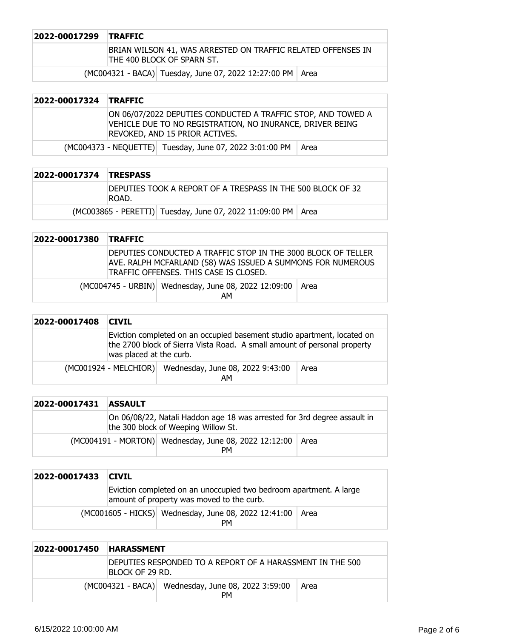| 2022-00017299 TRAFFIC |                                                                                            |  |
|-----------------------|--------------------------------------------------------------------------------------------|--|
|                       | BRIAN WILSON 41, WAS ARRESTED ON TRAFFIC RELATED OFFENSES IN<br>THE 400 BLOCK OF SPARN ST. |  |
|                       | (MC004321 - BACA) Tuesday, June 07, 2022 12:27:00 PM   Area                                |  |

| 2022-00017324 | <b>TRAFFIC</b>                                                                                                                                              |  |  |
|---------------|-------------------------------------------------------------------------------------------------------------------------------------------------------------|--|--|
|               | ON 06/07/2022 DEPUTIES CONDUCTED A TRAFFIC STOP, AND TOWED A<br>VEHICLE DUE TO NO REGISTRATION, NO INURANCE, DRIVER BEING<br>REVOKED, AND 15 PRIOR ACTIVES. |  |  |
|               | (MC004373 - NEQUETTE) Tuesday, June 07, 2022 3:01:00 PM<br>Area                                                                                             |  |  |

| 2022-00017374 TRESPASS |                                                                      |                                                                |  |
|------------------------|----------------------------------------------------------------------|----------------------------------------------------------------|--|
|                        | DEPUTIES TOOK A REPORT OF A TRESPASS IN THE 500 BLOCK OF 32<br>ROAD. |                                                                |  |
|                        |                                                                      | (MC003865 - PERETTI) Tuesday, June 07, 2022 11:09:00 PM   Area |  |

| 2022-00017380 | <b>TRAFFIC</b> |                                                                                                                                                                        |  |
|---------------|----------------|------------------------------------------------------------------------------------------------------------------------------------------------------------------------|--|
|               |                | DEPUTIES CONDUCTED A TRAFFIC STOP IN THE 3000 BLOCK OF TELLER<br>AVE. RALPH MCFARLAND (58) WAS ISSUED A SUMMONS FOR NUMEROUS<br>TRAFFIC OFFENSES. THIS CASE IS CLOSED. |  |
|               |                | (MC004745 - URBIN)   Wednesday, June 08, 2022 12:09:00   Area<br>AМ                                                                                                    |  |

| 2022-00017408 | <b>CIVIL</b>            |                                                                                                                                                     |      |
|---------------|-------------------------|-----------------------------------------------------------------------------------------------------------------------------------------------------|------|
|               | was placed at the curb. | Eviction completed on an occupied basement studio apartment, located on<br>the 2700 block of Sierra Vista Road. A small amount of personal property |      |
|               |                         | (MC001924 - MELCHIOR) Wednesday, June 08, 2022 9:43:00<br>AM                                                                                        | Area |

| 2022-00017431 | <b>ASSAULT</b> |                                                                                                                 |      |
|---------------|----------------|-----------------------------------------------------------------------------------------------------------------|------|
|               |                | On 06/08/22, Natali Haddon age 18 was arrested for 3rd degree assault in<br>the 300 block of Weeping Willow St. |      |
|               |                | (MC004191 - MORTON) Wednesday, June 08, 2022 12:12:00<br>PМ                                                     | Area |

| 2022-00017433 | <b>CIVIL</b> |                                                                                                                 |      |
|---------------|--------------|-----------------------------------------------------------------------------------------------------------------|------|
|               |              | Eviction completed on an unoccupied two bedroom apartment. A large<br>amount of property was moved to the curb. |      |
|               |              | (MC001605 - HICKS) Wednesday, June 08, 2022 12:41:00<br>PМ                                                      | Area |

| 2022-00017450 | <b>HARASSMENT</b> |                                                                 |      |
|---------------|-------------------|-----------------------------------------------------------------|------|
|               | Block of 29 RD.   | DEPUTIES RESPONDED TO A REPORT OF A HARASSMENT IN THE 500       |      |
|               |                   | (MC004321 - BACA) Wednesday, June 08, 2022 3:59:00<br><b>PM</b> | Area |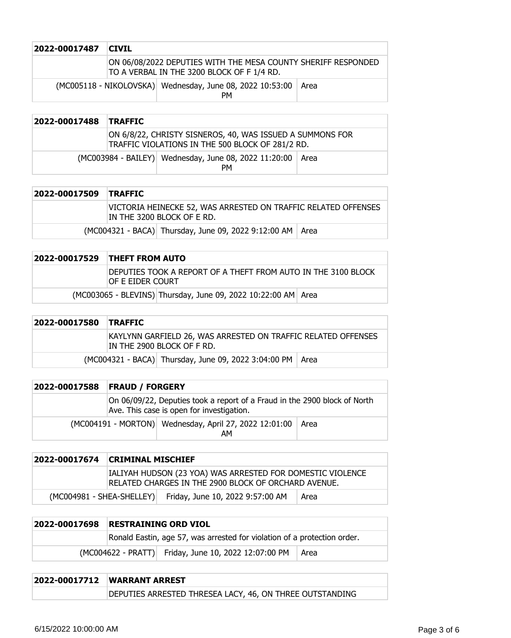| 2022-00017487 | <b>CIVIL</b> |                                                                                                             |      |
|---------------|--------------|-------------------------------------------------------------------------------------------------------------|------|
|               |              | ON 06/08/2022 DEPUTIES WITH THE MESA COUNTY SHERIFF RESPONDED<br>TO A VERBAL IN THE 3200 BLOCK OF F 1/4 RD. |      |
|               |              | (MC005118 - NIKOLOVSKA) Wednesday, June 08, 2022 10:53:00<br><b>PM</b>                                      | Area |

| 2022-00017488 | <b>TRAFFIC</b> |                                                                                                               |      |
|---------------|----------------|---------------------------------------------------------------------------------------------------------------|------|
|               |                | ON 6/8/22, CHRISTY SISNEROS, 40, WAS ISSUED A SUMMONS FOR<br>TRAFFIC VIOLATIONS IN THE 500 BLOCK OF 281/2 RD. |      |
|               |                | (MC003984 - BAILEY) Wednesday, June 08, 2022 11:20:00<br><b>PM</b>                                            | Area |

| 2022-00017509 | <b>TRAFFIC</b>                                                                               |
|---------------|----------------------------------------------------------------------------------------------|
|               | VICTORIA HEINECKE 52, WAS ARRESTED ON TRAFFIC RELATED OFFENSES<br>In the 3200 block of E RD. |
|               | (MC004321 - BACA) Thursday, June 09, 2022 9:12:00 AM   Area                                  |
|               |                                                                                              |

| 2022-00017529 THEFT FROM AUTO                                                         |  |
|---------------------------------------------------------------------------------------|--|
| IDEPUTIES TOOK A REPORT OF A THEFT FROM AUTO IN THE 3100 BLOCK<br>iof e eider court i |  |
| (MC003065 - BLEVINS) Thursday, June 09, 2022 10:22:00 AM Area                         |  |

| 2022-00017580 TRAFFIC |                                                                                             |  |
|-----------------------|---------------------------------------------------------------------------------------------|--|
|                       | KAYLYNN GARFIELD 26, WAS ARRESTED ON TRAFFIC RELATED OFFENSES<br>In the 2900 block of F RD. |  |
|                       | (MC004321 - BACA) Thursday, June 09, 2022 3:04:00 PM   Area                                 |  |

| 2022-00017588 | <b>FRAUD / FORGERY</b> |                                                                                                                        |      |
|---------------|------------------------|------------------------------------------------------------------------------------------------------------------------|------|
|               |                        | On 06/09/22, Deputies took a report of a Fraud in the 2900 block of North<br>Ave. This case is open for investigation. |      |
|               |                        | (MC004191 - MORTON) Wednesday, April 27, 2022 12:01:00<br>AМ                                                           | Area |

|                             | 2022-00017674 CRIMINAL MISCHIEF                                                                                    |                                  |      |
|-----------------------------|--------------------------------------------------------------------------------------------------------------------|----------------------------------|------|
|                             | IALIYAH HUDSON (23 YOA) WAS ARRESTED FOR DOMESTIC VIOLENCE<br>RELATED CHARGES IN THE 2900 BLOCK OF ORCHARD AVENUE. |                                  |      |
| $(MCOO4981 - SHEA-SHELLEY)$ |                                                                                                                    | Friday, June 10, 2022 9:57:00 AM | Area |

| 2022-00017698 | <b>RESTRAINING ORD VIOL</b> |                                                                          |      |
|---------------|-----------------------------|--------------------------------------------------------------------------|------|
|               |                             | Ronald Eastin, age 57, was arrested for violation of a protection order. |      |
|               |                             | (MC004622 - PRATT) Friday, June 10, 2022 12:07:00 PM                     | Area |

# **2022-00017712 WARRANT ARREST** DEPUTIES ARRESTED THRESEA LACY, 46, ON THREE OUTSTANDING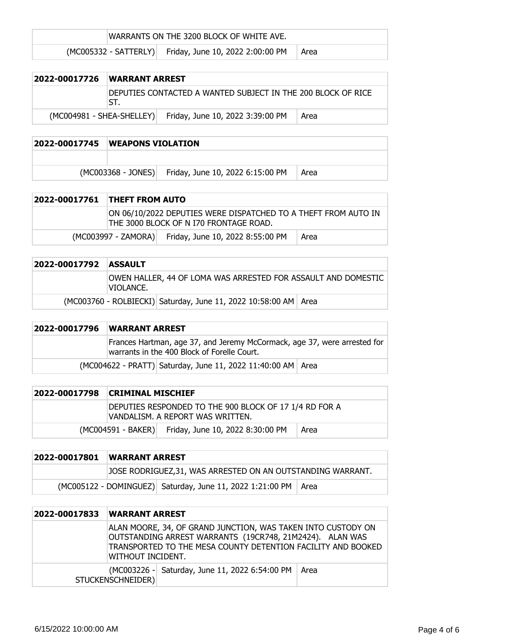WARRANTS ON THE 3200 BLOCK OF WHITE AVE.

 $(MCOO5332 - SATTERLY)$  Friday, June 10, 2022 2:00:00 PM  $\vert$  Area

| 2022-00017726             | <b>WARRANT ARREST</b> |                                                              |      |
|---------------------------|-----------------------|--------------------------------------------------------------|------|
|                           | ST.                   | DEPUTIES CONTACTED A WANTED SUBJECT IN THE 200 BLOCK OF RICE |      |
| (MC004981 - SHEA-SHELLEY) |                       | Friday, June 10, 2022 3:39:00 PM                             | Area |

#### **2022-00017745 WEAPONS VIOLATION**

(MC003368 - JONES) Friday, June 10, 2022 6:15:00 PM Area

| 2022-00017761 THEFT FROM AUTO |                                                                                                          |      |
|-------------------------------|----------------------------------------------------------------------------------------------------------|------|
|                               | ON 06/10/2022 DEPUTIES WERE DISPATCHED TO A THEFT FROM AUTO IN<br>THE 3000 BLOCK OF N I70 FRONTAGE ROAD. |      |
|                               | (MC003997 - ZAMORA) Friday, June 10, 2022 8:55:00 PM                                                     | Area |

| 2022-00017792 ASSAULT |           |                                                                   |  |
|-----------------------|-----------|-------------------------------------------------------------------|--|
|                       | VIOLANCE. | OWEN HALLER, 44 OF LOMA WAS ARRESTED FOR ASSAULT AND DOMESTIC     |  |
|                       |           | (MC003760 - ROLBIECKI) Saturday, June 11, 2022 10:58:00 AM   Area |  |

# **2022-00017796 WARRANT ARREST** Frances Hartman, age 37, and Jeremy McCormack, age 37, were arrested for warrants in the 400 Block of Forelle Court. (MC004622 - PRATT) Saturday, June 11, 2022 11:40:00 AM Area

| 2022-00017798 CRIMINAL MISCHIEF                                                             |                                                     |      |
|---------------------------------------------------------------------------------------------|-----------------------------------------------------|------|
| DEPUTIES RESPONDED TO THE 900 BLOCK OF 17 1/4 RD FOR A<br> VANDALISM. A REPORT WAS WRITTEN. |                                                     |      |
|                                                                                             | (MC004591 - BAKER) Friday, June 10, 2022 8:30:00 PM | Area |

| 2022-00017801 | <b>WARRANT ARREST</b>                                      |                                                                  |  |
|---------------|------------------------------------------------------------|------------------------------------------------------------------|--|
|               | JOSE RODRIGUEZ,31, WAS ARRESTED ON AN OUTSTANDING WARRANT. |                                                                  |  |
|               |                                                            | (MC005122 - DOMINGUEZ) Saturday, June 11, 2022 1:21:00 PM   Area |  |

| 2022-00017833 | <b>WARRANT ARREST</b> |                                                                                                                                                                                          |      |
|---------------|-----------------------|------------------------------------------------------------------------------------------------------------------------------------------------------------------------------------------|------|
|               | WITHOUT INCIDENT.     | ALAN MOORE, 34, OF GRAND JUNCTION, WAS TAKEN INTO CUSTODY ON<br>OUTSTANDING ARREST WARRANTS (19CR748, 21M2424). ALAN WAS<br>TRANSPORTED TO THE MESA COUNTY DETENTION FACILITY AND BOOKED |      |
|               | STUCKENSCHNEIDER)     | (MC003226 - Saturday, June 11, 2022 6:54:00 PM                                                                                                                                           | Area |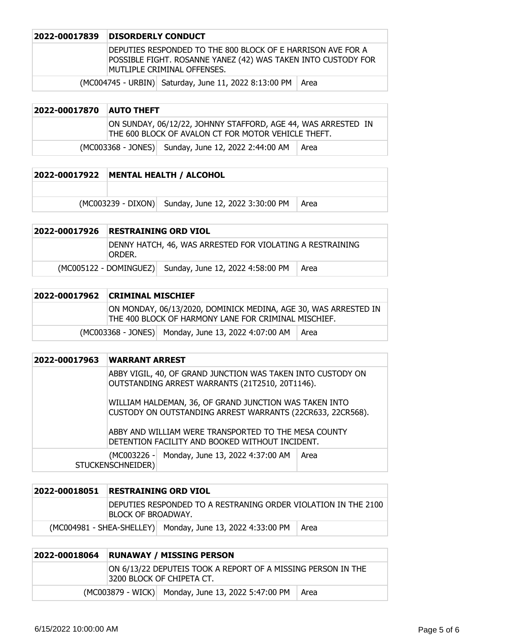#### **2022-00017839 DISORDERLY CONDUCT**

DEPUTIES RESPONDED TO THE 800 BLOCK OF E HARRISON AVE FOR A POSSIBLE FIGHT. ROSANNE YANEZ (42) WAS TAKEN INTO CUSTODY FOR MUTLIPLE CRIMINAL OFFENSES.

 $(MCOO4745 - URBIN)$  Saturday, June 11, 2022 8:13:00 PM  $\vert$  Area

## **2022-00017870 AUTO THEFT** ON SUNDAY, 06/12/22, JOHNNY STAFFORD, AGE 44, WAS ARRESTED IN THE 600 BLOCK OF AVALON CT FOR MOTOR VEHICLE THEFT.  $(MCOO3368 - JONES)$  Sunday, June 12, 2022 2:44:00 AM  $\vert$  Area

# **2022-00017922 MENTAL HEALTH / ALCOHOL**  $(MCO03239 - DIXON)$  Sunday, June 12, 2022 3:30:00 PM Area

## **2022-00017926 RESTRAINING ORD VIOL** DENNY HATCH, 46, WAS ARRESTED FOR VIOLATING A RESTRAINING ORDER.  $(MCOO5122 - DOMINGUEZ)$  Sunday, June 12, 2022 4:58:00 PM  $\vert$  Area

|  | 2022-00017962 CRIMINAL MISCHIEF                                                                                         |                                                     |      |
|--|-------------------------------------------------------------------------------------------------------------------------|-----------------------------------------------------|------|
|  | ON MONDAY, 06/13/2020, DOMINICK MEDINA, AGE 30, WAS ARRESTED IN<br>THE 400 BLOCK OF HARMONY LANE FOR CRIMINAL MISCHIEF. |                                                     |      |
|  |                                                                                                                         | (MC003368 - JONES) Monday, June 13, 2022 4:07:00 AM | Area |

| 2022-00017963 | <b>WARRANT ARREST</b>                                                                                                                                                        |  |  |
|---------------|------------------------------------------------------------------------------------------------------------------------------------------------------------------------------|--|--|
|               | ABBY VIGIL, 40, OF GRAND JUNCTION WAS TAKEN INTO CUSTODY ON<br>OUTSTANDING ARREST WARRANTS (21T2510, 20T1146).                                                               |  |  |
|               | WILLIAM HALDEMAN, 36, OF GRAND JUNCTION WAS TAKEN INTO<br>CUSTODY ON OUTSTANDING ARREST WARRANTS (22CR633, 22CR568).<br>ABBY AND WILLIAM WERE TRANSPORTED TO THE MESA COUNTY |  |  |
|               | DETENTION FACILITY AND BOOKED WITHOUT INCIDENT.                                                                                                                              |  |  |
|               | (MC003226 - Monday, June 13, 2022 4:37:00 AM<br>Area<br>STUCKENSCHNEIDER)                                                                                                    |  |  |

| 2022-00018051 | <b>RESTRAINING ORD VIOL</b>                                                          |                                                            |      |
|---------------|--------------------------------------------------------------------------------------|------------------------------------------------------------|------|
|               | DEPUTIES RESPONDED TO A RESTRANING ORDER VIOLATION IN THE 2100<br>BLOCK OF BROADWAY. |                                                            |      |
|               |                                                                                      | (MC004981 - SHEA-SHELLEY) Monday, June 13, 2022 4:33:00 PM | Area |

| 2022-00018064                                                                             | <b>RUNAWAY / MISSING PERSON</b> |                                                    |      |
|-------------------------------------------------------------------------------------------|---------------------------------|----------------------------------------------------|------|
| ON 6/13/22 DEPUTEIS TOOK A REPORT OF A MISSING PERSON IN THE<br>3200 BLOCK OF CHIPETA CT. |                                 |                                                    |      |
|                                                                                           |                                 | (MC003879 - WICK) Monday, June 13, 2022 5:47:00 PM | Area |